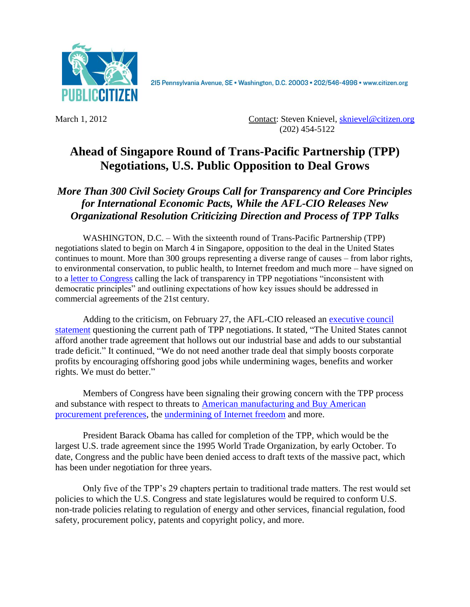

215 Pennsylvania Avenue, SE · Washington, D.C. 20003 · 202/546-4996 · www.citizen.org

March 1, 2012 Contact: Steven Knievel, [sknievel@citizen.org](mailto:sknievel@citizen.org)  (202) 454-5122

## **Ahead of Singapore Round of Trans-Pacific Partnership (TPP) Negotiations, U.S. Public Opposition to Deal Grows**

## *More Than 300 Civil Society Groups Call for Transparency and Core Principles for International Economic Pacts, While the AFL-CIO Releases New Organizational Resolution Criticizing Direction and Process of TPP Talks*

WASHINGTON, D.C. – With the sixteenth round of Trans-Pacific Partnership (TPP) negotiations slated to begin on March 4 in Singapore, opposition to the deal in the United States continues to mount. More than 300 groups representing a diverse range of causes – from labor rights, to environmental conservation, to public health, to Internet freedom and much more – have signed on to a [letter to Congress](http://www.citizen.org/2013-cso-tpp-fast-track-letter) calling the lack of transparency in TPP negotiations "inconsistent with democratic principles" and outlining expectations of how key issues should be addressed in commercial agreements of the 21st century.

Adding to the criticism, on February 27, the AFL-CIO released an [executive council](http://www.aflcio.org/About/Exec-Council/EC-Statements/The-Trans-Pacific-Partnership-Working-Families-Need-a-New-Trade-Model)  [statement](http://www.aflcio.org/About/Exec-Council/EC-Statements/The-Trans-Pacific-Partnership-Working-Families-Need-a-New-Trade-Model) questioning the current path of TPP negotiations. It stated, "The United States cannot afford another trade agreement that hollows out our industrial base and adds to our substantial trade deficit." It continued, "We do not need another trade deal that simply boosts corporate profits by encouraging offshoring good jobs while undermining wages, benefits and worker rights. We must do better."

Members of Congress have been signaling their growing concern with the TPP process and substance with respect to threats to [American manufacturing and Buy American](http://www.citizenstrade.org/ctc/wp-content/uploads/2012/12/FrankenLaborLetter113012.pdf)  [procurement preferences,](http://www.citizenstrade.org/ctc/wp-content/uploads/2012/12/FrankenLaborLetter113012.pdf) the [undermining of Internet freedom](http://lofgren.house.gov/images/stories/pdf/letter%20to%20ustr%20from%20rep.%20lofgren%20re%20tpp%20092012.pdf) and more.

President Barack Obama has called for completion of the TPP, which would be the largest U.S. trade agreement since the 1995 World Trade Organization, by early October. To date, Congress and the public have been denied access to draft texts of the massive pact, which has been under negotiation for three years.

Only five of the TPP's 29 chapters pertain to traditional trade matters. The rest would set policies to which the U.S. Congress and state legislatures would be required to conform U.S. non-trade policies relating to regulation of energy and other services, financial regulation, food safety, procurement policy, patents and copyright policy, and more.